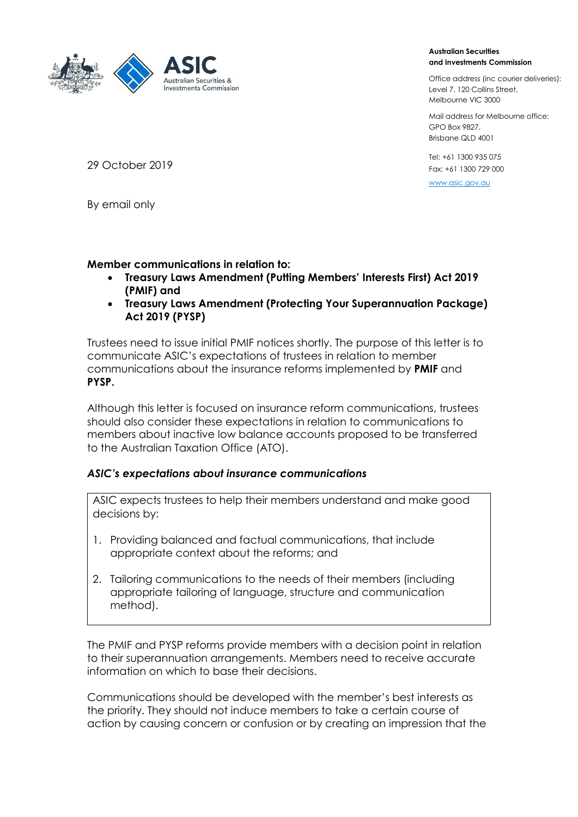

#### **Australian Securities and Investments Commission**

Office address (inc courier deliveries): Level 7, 120 Collins Street, Melbourne VIC 3000

Mail address for Melbourne office: GPO Box 9827, Brisbane QLD 4001

Tel: +61 1300 935 075 Fax: +61 1300 729 000

[www.asic.gov.au](file:///C:/Users/renee.hristoforidis/AppData/Local/Microsoft/Windows/Temporary%20Internet%20Files/Content.Outlook/7TFMFTUM/www.asic.gov.au)

29 October 2019

By email only

## **Member communications in relation to:**

- **Treasury Laws Amendment (Putting Members' Interests First) Act 2019 (PMIF) and**
- **Treasury Laws Amendment (Protecting Your Superannuation Package) Act 2019 (PYSP)**

Trustees need to issue initial PMIF notices shortly. The purpose of this letter is to communicate ASIC's expectations of trustees in relation to member communications about the insurance reforms implemented by **PMIF** and **PYSP.** 

Although this letter is focused on insurance reform communications, trustees should also consider these expectations in relation to communications to members about inactive low balance accounts proposed to be transferred to the Australian Taxation Office (ATO).

# *ASIC's expectations about insurance communications*

ASIC expects trustees to help their members understand and make good decisions by:

- 1. Providing balanced and factual communications, that include appropriate context about the reforms; and
- 2. Tailoring communications to the needs of their members (including appropriate tailoring of language, structure and communication method).

The PMIF and PYSP reforms provide members with a decision point in relation to their superannuation arrangements. Members need to receive accurate information on which to base their decisions.

Communications should be developed with the member's best interests as the priority. They should not induce members to take a certain course of action by causing concern or confusion or by creating an impression that the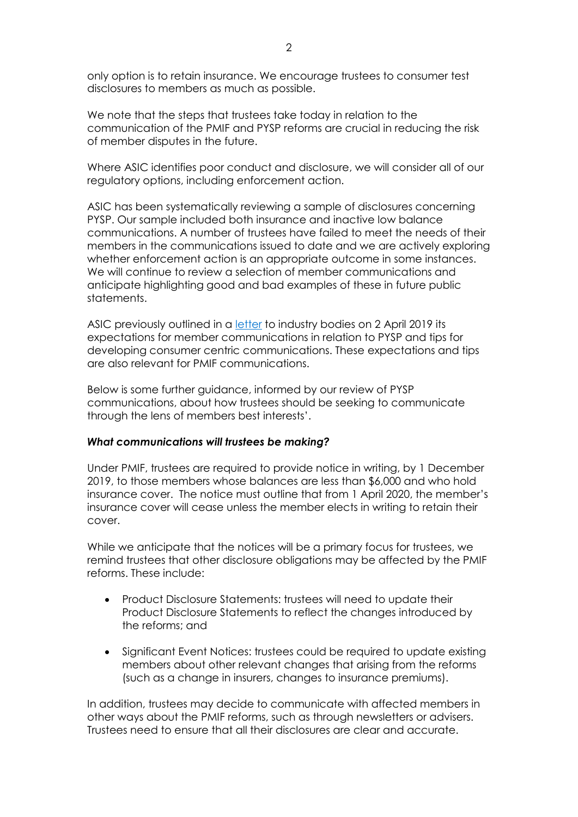only option is to retain insurance. We encourage trustees to consumer test disclosures to members as much as possible.

We note that the steps that trustees take today in relation to the communication of the PMIF and PYSP reforms are crucial in reducing the risk of member disputes in the future.

Where ASIC identifies poor conduct and disclosure, we will consider all of our regulatory options, including enforcement action.

ASIC has been systematically reviewing a sample of disclosures concerning PYSP. Our sample included both insurance and inactive low balance communications. A number of trustees have failed to meet the needs of their members in the communications issued to date and we are actively exploring whether enforcement action is an appropriate outcome in some instances. We will continue to review a selection of member communications and anticipate highlighting good and bad examples of these in future public statements.

ASIC previously outlined in a [letter](https://asic.gov.au/regulatory-resources/superannuation-funds/superannuation-guidance-and-relief/letters-to-trustees/member-communications-associated-with-the-protecting-your-superannuation-package-act-2-april-2019/) to industry bodies on 2 April 2019 its expectations for member communications in relation to PYSP and tips for developing consumer centric communications. These expectations and tips are also relevant for PMIF communications.

Below is some further guidance, informed by our review of PYSP communications, about how trustees should be seeking to communicate through the lens of members best interests'.

### *What communications will trustees be making?*

Under PMIF, trustees are required to provide notice in writing, by 1 December 2019, to those members whose balances are less than \$6,000 and who hold insurance cover. The notice must outline that from 1 April 2020, the member's insurance cover will cease unless the member elects in writing to retain their cover.

While we anticipate that the notices will be a primary focus for trustees, we remind trustees that other disclosure obligations may be affected by the PMIF reforms. These include:

- Product Disclosure Statements: trustees will need to update their Product Disclosure Statements to reflect the changes introduced by the reforms; and
- Significant Event Notices: trustees could be required to update existing members about other relevant changes that arising from the reforms (such as a change in insurers, changes to insurance premiums).

In addition, trustees may decide to communicate with affected members in other ways about the PMIF reforms, such as through newsletters or advisers. Trustees need to ensure that all their disclosures are clear and accurate.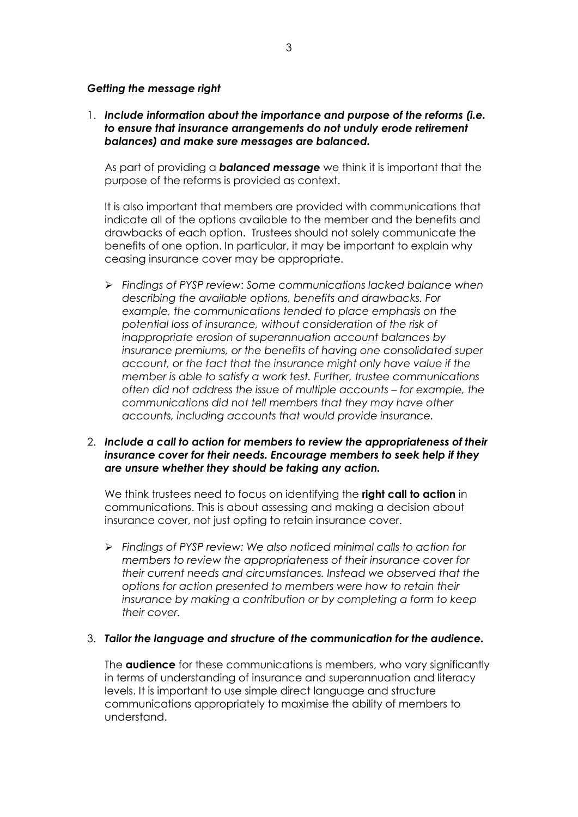### *Getting the message right*

1. *Include information about the importance and purpose of the reforms (i.e. to ensure that insurance arrangements do not unduly erode retirement balances) and make sure messages are balanced.* 

As part of providing a *balanced message* we think it is important that the purpose of the reforms is provided as context.

It is also important that members are provided with communications that indicate all of the options available to the member and the benefits and drawbacks of each option. Trustees should not solely communicate the benefits of one option. In particular, it may be important to explain why ceasing insurance cover may be appropriate.

➢ *Findings of PYSP review*: *Some communications lacked balance when describing the available options, benefits and drawbacks. For example, the communications tended to place emphasis on the potential loss of insurance, without consideration of the risk of inappropriate erosion of superannuation account balances by insurance premiums, or the benefits of having one consolidated super account, or the fact that the insurance might only have value if the member is able to satisfy a work test. Further, trustee communications often did not address the issue of multiple accounts – for example, the communications did not tell members that they may have other accounts, including accounts that would provide insurance.*

### 2. *Include a call to action for members to review the appropriateness of their insurance cover for their needs. Encourage members to seek help if they are unsure whether they should be taking any action.*

We think trustees need to focus on identifying the **right call to action** in communications. This is about assessing and making a decision about insurance cover, not just opting to retain insurance cover.

➢ *Findings of PYSP review: We also noticed minimal calls to action for members to review the appropriateness of their insurance cover for their current needs and circumstances. Instead we observed that the options for action presented to members were how to retain their insurance by making a contribution or by completing a form to keep their cover.*

### 3. *Tailor the language and structure of the communication for the audience.*

The **audience** for these communications is members, who vary significantly in terms of understanding of insurance and superannuation and literacy levels. It is important to use simple direct language and structure communications appropriately to maximise the ability of members to understand.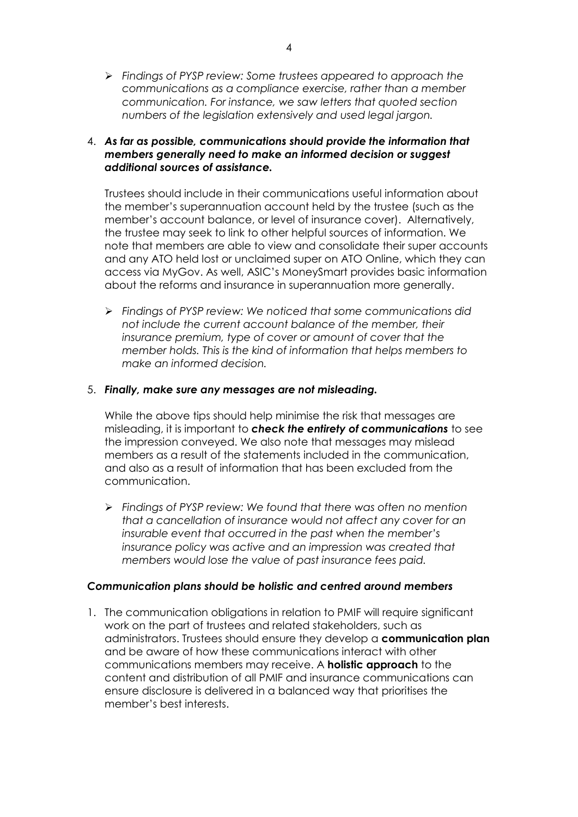➢ *Findings of PYSP review: Some trustees appeared to approach the communications as a compliance exercise, rather than a member communication. For instance, we saw letters that quoted section numbers of the legislation extensively and used legal jargon.*

## 4. *As far as possible, communications should provide the information that members generally need to make an informed decision or suggest additional sources of assistance.*

Trustees should include in their communications useful information about the member's superannuation account held by the trustee (such as the member's account balance, or level of insurance cover). Alternatively, the trustee may seek to link to other helpful sources of information. We note that members are able to view and consolidate their super accounts and any ATO held lost or unclaimed super on ATO Online, which they can access via MyGov. As well, ASIC's MoneySmart provides basic information about the reforms and insurance in superannuation more generally.

➢ *Findings of PYSP review: We noticed that some communications did not include the current account balance of the member, their insurance premium, type of cover or amount of cover that the member holds. This is the kind of information that helps members to make an informed decision.*

### 5. *Finally, make sure any messages are not misleading.*

While the above tips should help minimise the risk that messages are misleading, it is important to *check the entirety of communications* to see the impression conveyed. We also note that messages may mislead members as a result of the statements included in the communication, and also as a result of information that has been excluded from the communication.

➢ *Findings of PYSP review: We found that there was often no mention that a cancellation of insurance would not affect any cover for an insurable event that occurred in the past when the member's insurance policy was active and an impression was created that members would lose the value of past insurance fees paid.*

### *Communication plans should be holistic and centred around members*

1. The communication obligations in relation to PMIF will require significant work on the part of trustees and related stakeholders, such as administrators. Trustees should ensure they develop a **communication plan** and be aware of how these communications interact with other communications members may receive. A **holistic approach** to the content and distribution of all PMIF and insurance communications can ensure disclosure is delivered in a balanced way that prioritises the member's best interests.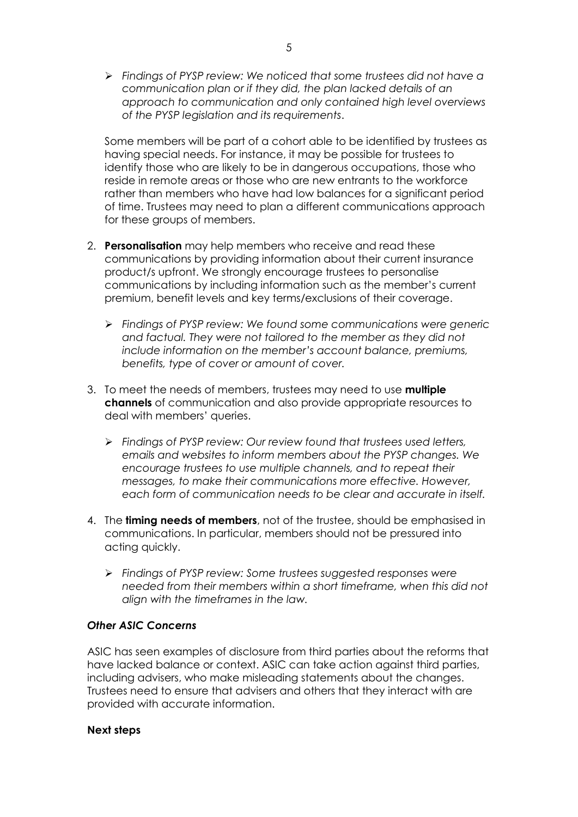➢ *Findings of PYSP review: We noticed that some trustees did not have a communication plan or if they did, the plan lacked details of an approach to communication and only contained high level overviews of the PYSP legislation and its requirements*.

Some members will be part of a cohort able to be identified by trustees as having special needs. For instance, it may be possible for trustees to identify those who are likely to be in dangerous occupations, those who reside in remote areas or those who are new entrants to the workforce rather than members who have had low balances for a significant period of time. Trustees may need to plan a different communications approach for these groups of members.

- 2. **Personalisation** may help members who receive and read these communications by providing information about their current insurance product/s upfront. We strongly encourage trustees to personalise communications by including information such as the member's current premium, benefit levels and key terms/exclusions of their coverage.
	- ➢ *Findings of PYSP review: We found some communications were generic and factual. They were not tailored to the member as they did not include information on the member's account balance, premiums, benefits, type of cover or amount of cover.*
- 3. To meet the needs of members, trustees may need to use **multiple channels** of communication and also provide appropriate resources to deal with members' queries.
	- ➢ *Findings of PYSP review: Our review found that trustees used letters, emails and websites to inform members about the PYSP changes. We encourage trustees to use multiple channels, and to repeat their messages, to make their communications more effective. However, each form of communication needs to be clear and accurate in itself.*
- 4. The **timing needs of members**, not of the trustee, should be emphasised in communications. In particular, members should not be pressured into acting quickly.
	- ➢ *Findings of PYSP review: Some trustees suggested responses were needed from their members within a short timeframe, when this did not align with the timeframes in the law.*

### *Other ASIC Concerns*

ASIC has seen examples of disclosure from third parties about the reforms that have lacked balance or context. ASIC can take action against third parties, including advisers, who make misleading statements about the changes. Trustees need to ensure that advisers and others that they interact with are provided with accurate information.

### **Next steps**